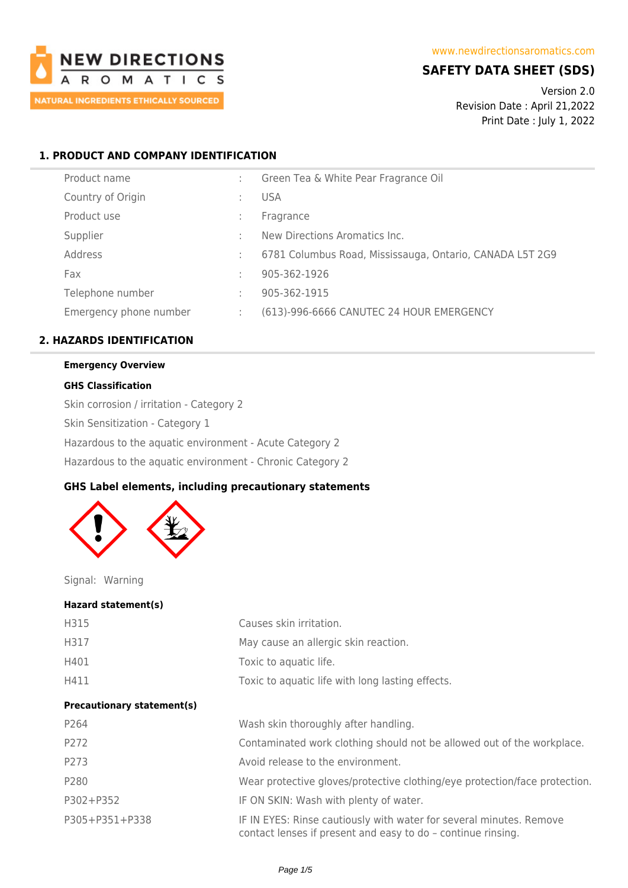

# **SAFETY DATA SHEET (SDS)**

Version 2.0 Revision Date : April 21,2022 Print Date : July 1, 2022

# **1. PRODUCT AND COMPANY IDENTIFICATION**

|   | Green Tea & White Pear Fragrance Oil                     |
|---|----------------------------------------------------------|
|   | <b>USA</b>                                               |
|   | Fragrance                                                |
|   | New Directions Aromatics Inc.                            |
|   | 6781 Columbus Road, Mississauga, Ontario, CANADA L5T 2G9 |
|   | 905-362-1926                                             |
|   | 905-362-1915                                             |
| ÷ | (613)-996-6666 CANUTEC 24 HOUR EMERGENCY                 |
|   |                                                          |

# **2. HAZARDS IDENTIFICATION**

# **Emergency Overview**

### **GHS Classification**

Skin corrosion / irritation - Category 2 Skin Sensitization - Category 1 Hazardous to the aquatic environment - Acute Category 2 Hazardous to the aquatic environment - Chronic Category 2

### **GHS Label elements, including precautionary statements**



Signal: Warning

#### **Hazard statement(s)**

| H315                              | Causes skin irritation.                                                                                                             |
|-----------------------------------|-------------------------------------------------------------------------------------------------------------------------------------|
| H317                              | May cause an allergic skin reaction.                                                                                                |
| H401                              | Toxic to aquatic life.                                                                                                              |
| H411                              | Toxic to aquatic life with long lasting effects.                                                                                    |
| <b>Precautionary statement(s)</b> |                                                                                                                                     |
| P264                              | Wash skin thoroughly after handling.                                                                                                |
| P272                              | Contaminated work clothing should not be allowed out of the workplace.                                                              |
| P273                              | Avoid release to the environment.                                                                                                   |
| P280                              | Wear protective gloves/protective clothing/eye protection/face protection.                                                          |
| P302+P352                         | IF ON SKIN: Wash with plenty of water.                                                                                              |
| P305+P351+P338                    | IF IN EYES: Rinse cautiously with water for several minutes. Remove<br>contact lenses if present and easy to do - continue rinsing. |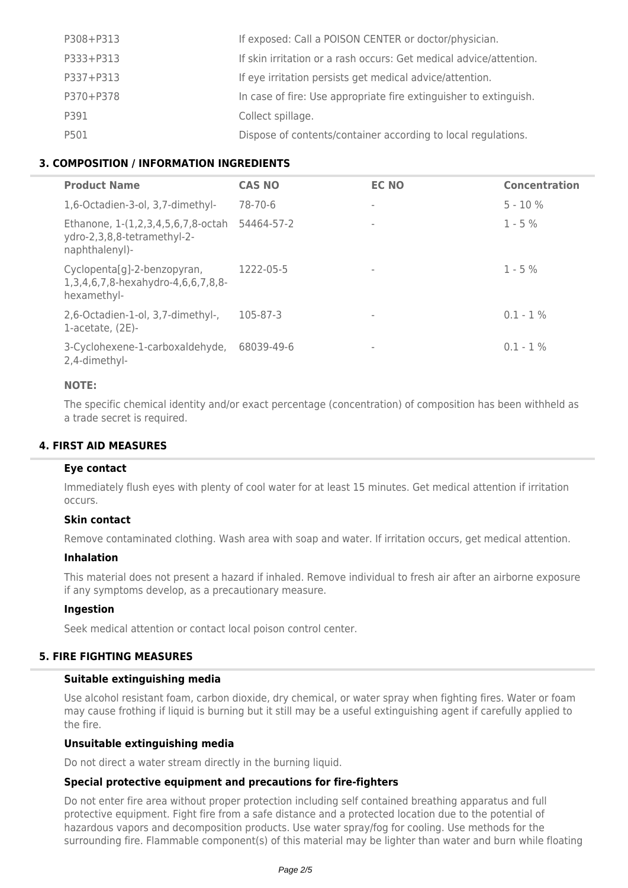| P308+P313 | If exposed: Call a POISON CENTER or doctor/physician.              |
|-----------|--------------------------------------------------------------------|
| P333+P313 | If skin irritation or a rash occurs: Get medical advice/attention. |
| P337+P313 | If eye irritation persists get medical advice/attention.           |
| P370+P378 | In case of fire: Use appropriate fire extinguisher to extinguish.  |
| P391      | Collect spillage.                                                  |
| P501      | Dispose of contents/container according to local regulations.      |

# **3. COMPOSITION / INFORMATION INGREDIENTS**

| <b>Product Name</b>                                                                 | <b>CAS NO</b> | <b>EC NO</b>             | <b>Concentration</b> |
|-------------------------------------------------------------------------------------|---------------|--------------------------|----------------------|
| 1,6-Octadien-3-ol, 3,7-dimethyl-                                                    | 78-70-6       |                          | $5 - 10%$            |
| Ethanone, 1-(1,2,3,4,5,6,7,8-octah<br>ydro-2,3,8,8-tetramethyl-2-<br>naphthalenyl)- | 54464-57-2    | $\overline{\phantom{a}}$ | $1 - 5%$             |
| Cyclopenta[g]-2-benzopyran,<br>1,3,4,6,7,8-hexahydro-4,6,6,7,8,8-<br>hexamethyl-    | 1222-05-5     |                          | $1 - 5%$             |
| 2,6-Octadien-1-ol, 3,7-dimethyl-,<br>1-acetate, $(2E)$ -                            | 105-87-3      |                          | $0.1 - 1\%$          |
| 3-Cyclohexene-1-carboxaldehyde,<br>2,4-dimethyl-                                    | 68039-49-6    | $\overline{\phantom{a}}$ | $0.1 - 1\%$          |

# **NOTE:**

The specific chemical identity and/or exact percentage (concentration) of composition has been withheld as a trade secret is required.

# **4. FIRST AID MEASURES**

### **Eye contact**

Immediately flush eyes with plenty of cool water for at least 15 minutes. Get medical attention if irritation occurs.

### **Skin contact**

Remove contaminated clothing. Wash area with soap and water. If irritation occurs, get medical attention.

### **Inhalation**

This material does not present a hazard if inhaled. Remove individual to fresh air after an airborne exposure if any symptoms develop, as a precautionary measure.

### **Ingestion**

Seek medical attention or contact local poison control center.

### **5. FIRE FIGHTING MEASURES**

### **Suitable extinguishing media**

Use alcohol resistant foam, carbon dioxide, dry chemical, or water spray when fighting fires. Water or foam may cause frothing if liquid is burning but it still may be a useful extinguishing agent if carefully applied to the fire.

### **Unsuitable extinguishing media**

Do not direct a water stream directly in the burning liquid.

### **Special protective equipment and precautions for fire-fighters**

Do not enter fire area without proper protection including self contained breathing apparatus and full protective equipment. Fight fire from a safe distance and a protected location due to the potential of hazardous vapors and decomposition products. Use water spray/fog for cooling. Use methods for the surrounding fire. Flammable component(s) of this material may be lighter than water and burn while floating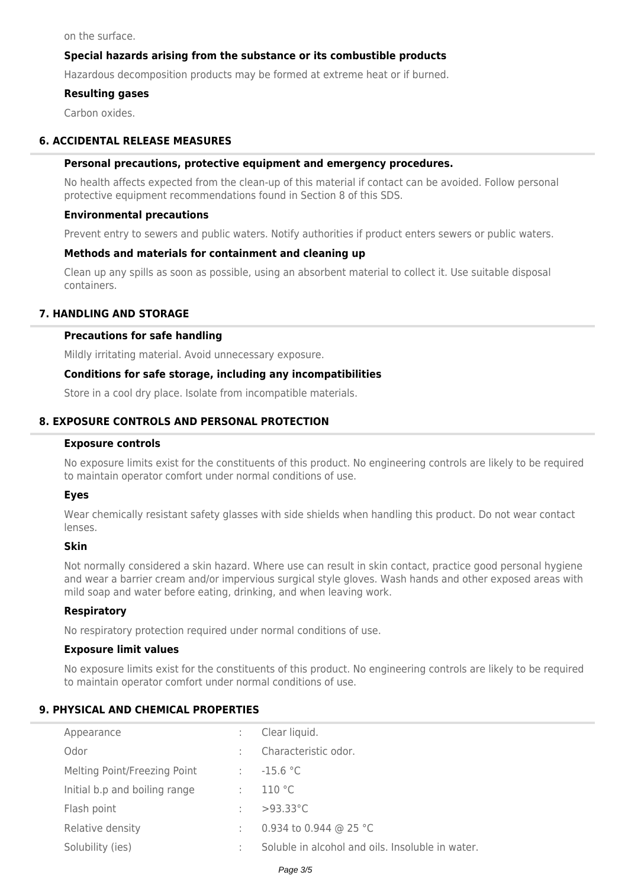on the surface.

# **Special hazards arising from the substance or its combustible products**

Hazardous decomposition products may be formed at extreme heat or if burned.

### **Resulting gases**

Carbon oxides.

### **6. ACCIDENTAL RELEASE MEASURES**

### **Personal precautions, protective equipment and emergency procedures.**

No health affects expected from the clean-up of this material if contact can be avoided. Follow personal protective equipment recommendations found in Section 8 of this SDS.

#### **Environmental precautions**

Prevent entry to sewers and public waters. Notify authorities if product enters sewers or public waters.

### **Methods and materials for containment and cleaning up**

Clean up any spills as soon as possible, using an absorbent material to collect it. Use suitable disposal containers.

### **7. HANDLING AND STORAGE**

#### **Precautions for safe handling**

Mildly irritating material. Avoid unnecessary exposure.

### **Conditions for safe storage, including any incompatibilities**

Store in a cool dry place. Isolate from incompatible materials.

# **8. EXPOSURE CONTROLS AND PERSONAL PROTECTION**

#### **Exposure controls**

No exposure limits exist for the constituents of this product. No engineering controls are likely to be required to maintain operator comfort under normal conditions of use.

### **Eyes**

Wear chemically resistant safety glasses with side shields when handling this product. Do not wear contact lenses.

#### **Skin**

Not normally considered a skin hazard. Where use can result in skin contact, practice good personal hygiene and wear a barrier cream and/or impervious surgical style gloves. Wash hands and other exposed areas with mild soap and water before eating, drinking, and when leaving work.

### **Respiratory**

No respiratory protection required under normal conditions of use.

### **Exposure limit values**

No exposure limits exist for the constituents of this product. No engineering controls are likely to be required to maintain operator comfort under normal conditions of use.

### **9. PHYSICAL AND CHEMICAL PROPERTIES**

| Appearance                    | ÷ | Clear liquid.                                    |
|-------------------------------|---|--------------------------------------------------|
| Odor                          |   | Characteristic odor.                             |
| Melting Point/Freezing Point  | ÷ | $-15.6 °C$                                       |
| Initial b.p and boiling range | ÷ | 110 °C                                           |
| Flash point                   | ÷ | $>93.33^{\circ}$ C                               |
| Relative density              | ÷ | 0.934 to 0.944 @ 25 °C                           |
| Solubility (ies)              |   | Soluble in alcohol and oils. Insoluble in water. |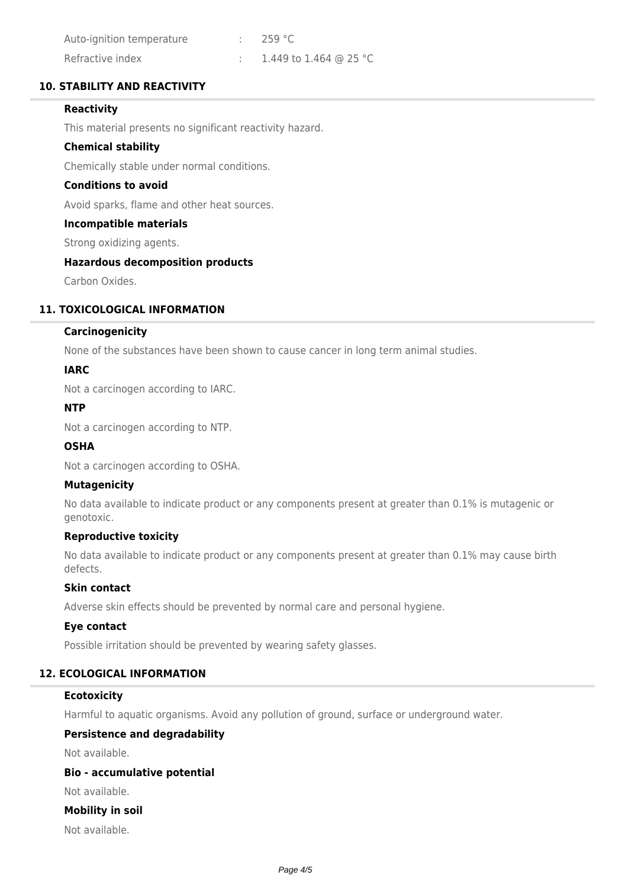| Auto-ignition temperature | $\cdot$ 259 °C         |
|---------------------------|------------------------|
| Refractive index          | 1.449 to 1.464 @ 25 °C |

# **10. STABILITY AND REACTIVITY**

# **Reactivity**

This material presents no significant reactivity hazard.

### **Chemical stability**

Chemically stable under normal conditions.

# **Conditions to avoid**

Avoid sparks, flame and other heat sources.

### **Incompatible materials**

Strong oxidizing agents.

# **Hazardous decomposition products**

Carbon Oxides.

# **11. TOXICOLOGICAL INFORMATION**

### **Carcinogenicity**

None of the substances have been shown to cause cancer in long term animal studies.

### **IARC**

Not a carcinogen according to IARC.

### **NTP**

Not a carcinogen according to NTP.

# **OSHA**

Not a carcinogen according to OSHA.

### **Mutagenicity**

No data available to indicate product or any components present at greater than 0.1% is mutagenic or genotoxic.

# **Reproductive toxicity**

No data available to indicate product or any components present at greater than 0.1% may cause birth defects.

# **Skin contact**

Adverse skin effects should be prevented by normal care and personal hygiene.

### **Eye contact**

Possible irritation should be prevented by wearing safety glasses.

# **12. ECOLOGICAL INFORMATION**

### **Ecotoxicity**

Harmful to aquatic organisms. Avoid any pollution of ground, surface or underground water.

# **Persistence and degradability**

Not available.

# **Bio - accumulative potential**

Not available.

### **Mobility in soil**

Not available.